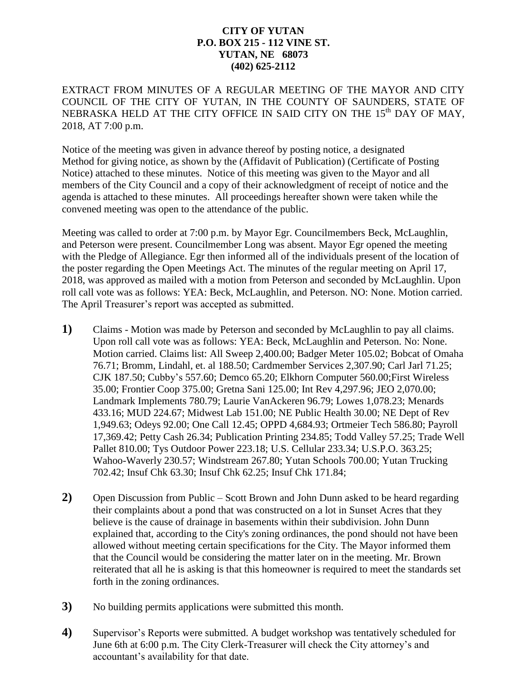## **CITY OF YUTAN P.O. BOX 215 - 112 VINE ST. YUTAN, NE 68073 (402) 625-2112**

EXTRACT FROM MINUTES OF A REGULAR MEETING OF THE MAYOR AND CITY COUNCIL OF THE CITY OF YUTAN, IN THE COUNTY OF SAUNDERS, STATE OF NEBRASKA HELD AT THE CITY OFFICE IN SAID CITY ON THE  $15<sup>th</sup>$  DAY OF MAY, 2018, AT 7:00 p.m.

Notice of the meeting was given in advance thereof by posting notice, a designated Method for giving notice, as shown by the (Affidavit of Publication) (Certificate of Posting Notice) attached to these minutes. Notice of this meeting was given to the Mayor and all members of the City Council and a copy of their acknowledgment of receipt of notice and the agenda is attached to these minutes. All proceedings hereafter shown were taken while the convened meeting was open to the attendance of the public.

Meeting was called to order at 7:00 p.m. by Mayor Egr. Councilmembers Beck, McLaughlin, and Peterson were present. Councilmember Long was absent. Mayor Egr opened the meeting with the Pledge of Allegiance. Egr then informed all of the individuals present of the location of the poster regarding the Open Meetings Act. The minutes of the regular meeting on April 17, 2018, was approved as mailed with a motion from Peterson and seconded by McLaughlin. Upon roll call vote was as follows: YEA: Beck, McLaughlin, and Peterson. NO: None. Motion carried. The April Treasurer's report was accepted as submitted.

- **1)** Claims Motion was made by Peterson and seconded by McLaughlin to pay all claims. Upon roll call vote was as follows: YEA: Beck, McLaughlin and Peterson. No: None. Motion carried. Claims list: All Sweep 2,400.00; Badger Meter 105.02; Bobcat of Omaha 76.71; Bromm, Lindahl, et. al 188.50; Cardmember Services 2,307.90; Carl Jarl 71.25; CJK 187.50; Cubby's 557.60; Demco 65.20; Elkhorn Computer 560.00;First Wireless 35.00; Frontier Coop 375.00; Gretna Sani 125.00; Int Rev 4,297.96; JEO 2,070.00; Landmark Implements 780.79; Laurie VanAckeren 96.79; Lowes 1,078.23; Menards 433.16; MUD 224.67; Midwest Lab 151.00; NE Public Health 30.00; NE Dept of Rev 1,949.63; Odeys 92.00; One Call 12.45; OPPD 4,684.93; Ortmeier Tech 586.80; Payroll 17,369.42; Petty Cash 26.34; Publication Printing 234.85; Todd Valley 57.25; Trade Well Pallet 810.00; Tys Outdoor Power 223.18; U.S. Cellular 233.34; U.S.P.O. 363.25; Wahoo-Waverly 230.57; Windstream 267.80; Yutan Schools 700.00; Yutan Trucking 702.42; Insuf Chk 63.30; Insuf Chk 62.25; Insuf Chk 171.84;
- **2)** Open Discussion from Public Scott Brown and John Dunn asked to be heard regarding their complaints about a pond that was constructed on a lot in Sunset Acres that they believe is the cause of drainage in basements within their subdivision. John Dunn explained that, according to the City's zoning ordinances, the pond should not have been allowed without meeting certain specifications for the City. The Mayor informed them that the Council would be considering the matter later on in the meeting. Mr. Brown reiterated that all he is asking is that this homeowner is required to meet the standards set forth in the zoning ordinances.
- **3)** No building permits applications were submitted this month.
- **4)** Supervisor's Reports were submitted. A budget workshop was tentatively scheduled for June 6th at 6:00 p.m. The City Clerk-Treasurer will check the City attorney's and accountant's availability for that date.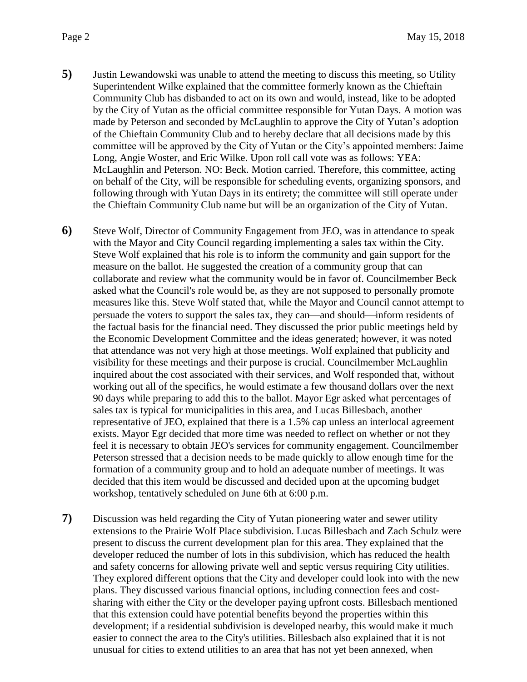- **5)** Justin Lewandowski was unable to attend the meeting to discuss this meeting, so Utility Superintendent Wilke explained that the committee formerly known as the Chieftain Community Club has disbanded to act on its own and would, instead, like to be adopted by the City of Yutan as the official committee responsible for Yutan Days. A motion was made by Peterson and seconded by McLaughlin to approve the City of Yutan's adoption of the Chieftain Community Club and to hereby declare that all decisions made by this committee will be approved by the City of Yutan or the City's appointed members: Jaime Long, Angie Woster, and Eric Wilke. Upon roll call vote was as follows: YEA: McLaughlin and Peterson. NO: Beck. Motion carried. Therefore, this committee, acting on behalf of the City, will be responsible for scheduling events, organizing sponsors, and following through with Yutan Days in its entirety; the committee will still operate under the Chieftain Community Club name but will be an organization of the City of Yutan.
- **6)** Steve Wolf, Director of Community Engagement from JEO, was in attendance to speak with the Mayor and City Council regarding implementing a sales tax within the City. Steve Wolf explained that his role is to inform the community and gain support for the measure on the ballot. He suggested the creation of a community group that can collaborate and review what the community would be in favor of. Councilmember Beck asked what the Council's role would be, as they are not supposed to personally promote measures like this. Steve Wolf stated that, while the Mayor and Council cannot attempt to persuade the voters to support the sales tax, they can—and should—inform residents of the factual basis for the financial need. They discussed the prior public meetings held by the Economic Development Committee and the ideas generated; however, it was noted that attendance was not very high at those meetings. Wolf explained that publicity and visibility for these meetings and their purpose is crucial. Councilmember McLaughlin inquired about the cost associated with their services, and Wolf responded that, without working out all of the specifics, he would estimate a few thousand dollars over the next 90 days while preparing to add this to the ballot. Mayor Egr asked what percentages of sales tax is typical for municipalities in this area, and Lucas Billesbach, another representative of JEO, explained that there is a 1.5% cap unless an interlocal agreement exists. Mayor Egr decided that more time was needed to reflect on whether or not they feel it is necessary to obtain JEO's services for community engagement. Councilmember Peterson stressed that a decision needs to be made quickly to allow enough time for the formation of a community group and to hold an adequate number of meetings. It was decided that this item would be discussed and decided upon at the upcoming budget workshop, tentatively scheduled on June 6th at 6:00 p.m.
- **7)** Discussion was held regarding the City of Yutan pioneering water and sewer utility extensions to the Prairie Wolf Place subdivision. Lucas Billesbach and Zach Schulz were present to discuss the current development plan for this area. They explained that the developer reduced the number of lots in this subdivision, which has reduced the health and safety concerns for allowing private well and septic versus requiring City utilities. They explored different options that the City and developer could look into with the new plans. They discussed various financial options, including connection fees and costsharing with either the City or the developer paying upfront costs. Billesbach mentioned that this extension could have potential benefits beyond the properties within this development; if a residential subdivision is developed nearby, this would make it much easier to connect the area to the City's utilities. Billesbach also explained that it is not unusual for cities to extend utilities to an area that has not yet been annexed, when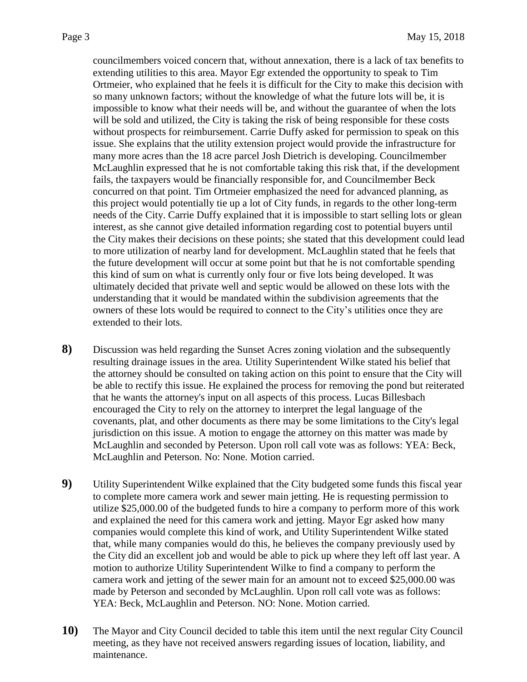councilmembers voiced concern that, without annexation, there is a lack of tax benefits to extending utilities to this area. Mayor Egr extended the opportunity to speak to Tim Ortmeier, who explained that he feels it is difficult for the City to make this decision with so many unknown factors; without the knowledge of what the future lots will be, it is impossible to know what their needs will be, and without the guarantee of when the lots will be sold and utilized, the City is taking the risk of being responsible for these costs without prospects for reimbursement. Carrie Duffy asked for permission to speak on this issue. She explains that the utility extension project would provide the infrastructure for many more acres than the 18 acre parcel Josh Dietrich is developing. Councilmember McLaughlin expressed that he is not comfortable taking this risk that, if the development fails, the taxpayers would be financially responsible for, and Councilmember Beck concurred on that point. Tim Ortmeier emphasized the need for advanced planning, as this project would potentially tie up a lot of City funds, in regards to the other long-term needs of the City. Carrie Duffy explained that it is impossible to start selling lots or glean interest, as she cannot give detailed information regarding cost to potential buyers until the City makes their decisions on these points; she stated that this development could lead to more utilization of nearby land for development. McLaughlin stated that he feels that the future development will occur at some point but that he is not comfortable spending this kind of sum on what is currently only four or five lots being developed. It was ultimately decided that private well and septic would be allowed on these lots with the understanding that it would be mandated within the subdivision agreements that the owners of these lots would be required to connect to the City's utilities once they are extended to their lots.

- **8)** Discussion was held regarding the Sunset Acres zoning violation and the subsequently resulting drainage issues in the area. Utility Superintendent Wilke stated his belief that the attorney should be consulted on taking action on this point to ensure that the City will be able to rectify this issue. He explained the process for removing the pond but reiterated that he wants the attorney's input on all aspects of this process. Lucas Billesbach encouraged the City to rely on the attorney to interpret the legal language of the covenants, plat, and other documents as there may be some limitations to the City's legal jurisdiction on this issue. A motion to engage the attorney on this matter was made by McLaughlin and seconded by Peterson. Upon roll call vote was as follows: YEA: Beck, McLaughlin and Peterson. No: None. Motion carried.
- **9)** Utility Superintendent Wilke explained that the City budgeted some funds this fiscal year to complete more camera work and sewer main jetting. He is requesting permission to utilize \$25,000.00 of the budgeted funds to hire a company to perform more of this work and explained the need for this camera work and jetting. Mayor Egr asked how many companies would complete this kind of work, and Utility Superintendent Wilke stated that, while many companies would do this, he believes the company previously used by the City did an excellent job and would be able to pick up where they left off last year. A motion to authorize Utility Superintendent Wilke to find a company to perform the camera work and jetting of the sewer main for an amount not to exceed \$25,000.00 was made by Peterson and seconded by McLaughlin. Upon roll call vote was as follows: YEA: Beck, McLaughlin and Peterson. NO: None. Motion carried.
- **10)** The Mayor and City Council decided to table this item until the next regular City Council meeting, as they have not received answers regarding issues of location, liability, and maintenance.